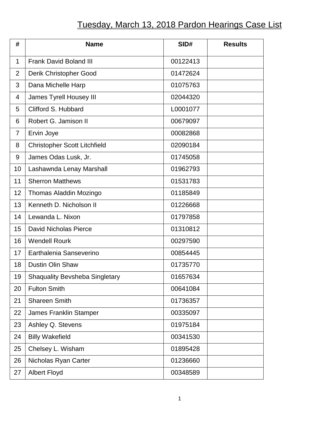## Tuesday, March 13, 2018 Pardon Hearings Case List

| #              | <b>Name</b>                           | SID#     | <b>Results</b> |
|----------------|---------------------------------------|----------|----------------|
| $\mathbf 1$    | <b>Frank David Boland III</b>         | 00122413 |                |
| $\overline{2}$ | Derik Christopher Good                | 01472624 |                |
| 3              | Dana Michelle Harp                    | 01075763 |                |
| 4              | <b>James Tyrell Housey III</b>        | 02044320 |                |
| 5              | Clifford S. Hubbard                   | L0001077 |                |
| 6              | Robert G. Jamison II                  | 00679097 |                |
| $\overline{7}$ | Ervin Joye                            | 00082868 |                |
| 8              | <b>Christopher Scott Litchfield</b>   | 02090184 |                |
| 9              | James Odas Lusk, Jr.                  | 01745058 |                |
| 10             | Lashawnda Lenay Marshall              | 01962793 |                |
| 11             | <b>Sherron Matthews</b>               | 01531783 |                |
| 12             | Thomas Aladdin Mozingo                | 01185849 |                |
| 13             | Kenneth D. Nicholson II               | 01226668 |                |
| 14             | Lewanda L. Nixon                      | 01797858 |                |
| 15             | <b>David Nicholas Pierce</b>          | 01310812 |                |
| 16             | <b>Wendell Rourk</b>                  | 00297590 |                |
| 17             | Earthalenia Sanseverino               | 00854445 |                |
| 18             | <b>Dustin Olin Shaw</b>               | 01735770 |                |
| 19             | <b>Shaquality Bevsheba Singletary</b> | 01657634 |                |
| 20             | <b>Fulton Smith</b>                   | 00641084 |                |
| 21             | <b>Shareen Smith</b>                  | 01736357 |                |
| 22             | James Franklin Stamper                | 00335097 |                |
| 23             | Ashley Q. Stevens                     | 01975184 |                |
| 24             | <b>Billy Wakefield</b>                | 00341530 |                |
| 25             | Chelsey L. Wisham                     | 01895428 |                |
| 26             | Nicholas Ryan Carter                  | 01236660 |                |
| 27             | <b>Albert Floyd</b>                   | 00348589 |                |